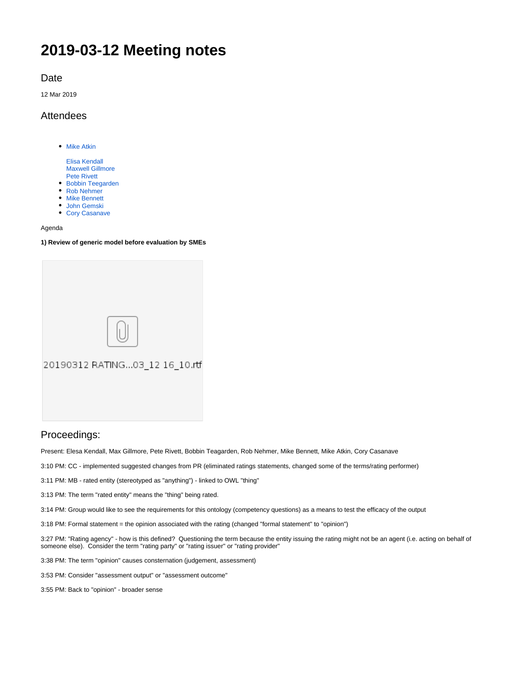# **2019-03-12 Meeting notes**

Date

12 Mar 2019

## Attendees

- [Mike Atkin](https://wiki.edmcouncil.org/display/~atkin)
	- [Elisa Kendall](https://wiki.edmcouncil.org/display/~ElisaKendall) [Maxwell Gillmore](https://wiki.edmcouncil.org/display/~maxwellrgillmore) [Pete Rivett](https://wiki.edmcouncil.org/display/~rivettp)
- [Bobbin Teegarden](https://wiki.edmcouncil.org/display/~teegs)
- [Rob Nehmer](https://wiki.edmcouncil.org/display/~nehmer)
- [Mike Bennett](https://wiki.edmcouncil.org/display/~MikeHypercube)
- [John Gemski](https://wiki.edmcouncil.org/display/~jgemski) • [Cory Casanave](https://wiki.edmcouncil.org/display/~CoryCasanave)

#### Agenda

#### **1) Review of generic model before evaluation by SMEs**

| 20190312 RATING03_12 16_10.rtf |
|--------------------------------|
|                                |

## Proceedings:

Present: Elesa Kendall, Max Gillmore, Pete Rivett, Bobbin Teagarden, Rob Nehmer, Mike Bennett, Mike Atkin, Cory Casanave

3:10 PM: CC - implemented suggested changes from PR (eliminated ratings statements, changed some of the terms/rating performer)

3:11 PM: MB - rated entity (stereotyped as "anything") - linked to OWL "thing"

3:13 PM: The term "rated entity" means the "thing" being rated.

3:14 PM: Group would like to see the requirements for this ontology (competency questions) as a means to test the efficacy of the output

3:18 PM: Formal statement = the opinion associated with the rating (changed "formal statement" to "opinion")

3:27 PM: "Rating agency" - how is this defined? Questioning the term because the entity issuing the rating might not be an agent (i.e. acting on behalf of someone else). Consider the term "rating party" or "rating issuer" or "rating provider"

3:38 PM: The term "opinion" causes consternation (judgement, assessment)

3:53 PM: Consider "assessment output" or "assessment outcome"

3:55 PM: Back to "opinion" - broader sense